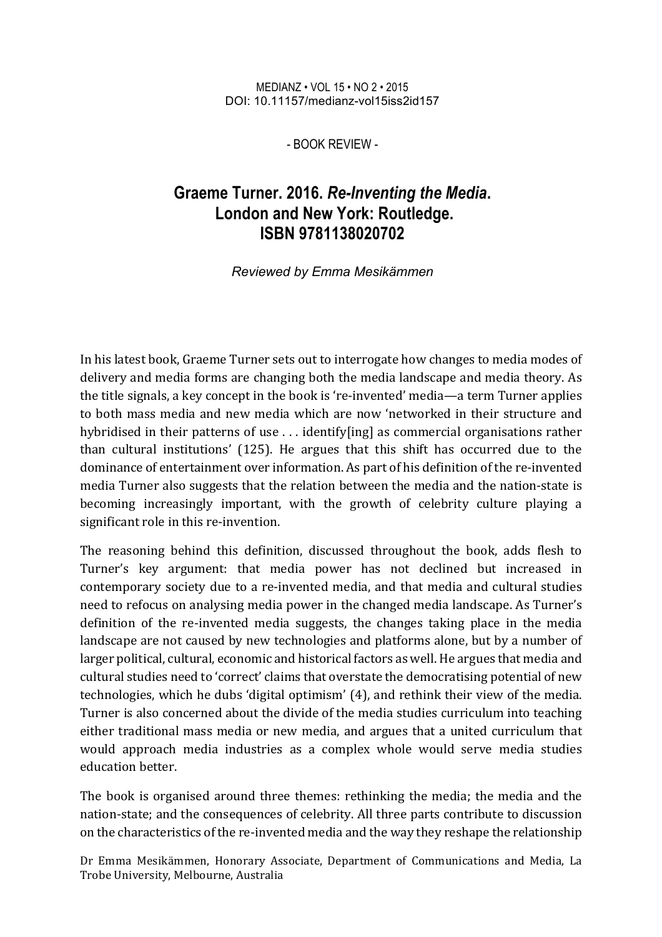MEDIANZ • VOL 15 • NO 2 • 2015 DOI: 10.11157/medianz-vol15iss2id157

- BOOK REVIEW -

## **Graeme Turner. 2016.** *Re-Inventing the Media***. London and New York: Routledge. ISBN 9781138020702**

## *Reviewed by Emma Mesikämmen*

In his latest book, Graeme Turner sets out to interrogate how changes to media modes of delivery and media forms are changing both the media landscape and media theory. As the title signals, a key concept in the book is 're-invented' media—a term Turner applies to both mass media and new media which are now 'networked in their structure and hybridised in their patterns of use . . . identify[ing] as commercial organisations rather than cultural institutions' (125). He argues that this shift has occurred due to the dominance of entertainment over information. As part of his definition of the re-invented media Turner also suggests that the relation between the media and the nation-state is becoming increasingly important, with the growth of celebrity culture playing a significant role in this re-invention.

The reasoning behind this definition, discussed throughout the book, adds flesh to Turner's key argument: that media power has not declined but increased in contemporary society due to a re-invented media, and that media and cultural studies need to refocus on analysing media power in the changed media landscape. As Turner's definition of the re-invented media suggests, the changes taking place in the media landscape are not caused by new technologies and platforms alone, but by a number of larger political, cultural, economic and historical factors as well. He argues that media and cultural studies need to 'correct' claims that overstate the democratising potential of new technologies, which he dubs 'digital optimism' (4), and rethink their view of the media. Turner is also concerned about the divide of the media studies curriculum into teaching either traditional mass media or new media, and argues that a united curriculum that would approach media industries as a complex whole would serve media studies education better

The book is organised around three themes: rethinking the media; the media and the nation-state; and the consequences of celebrity. All three parts contribute to discussion on the characteristics of the re-invented media and the way they reshape the relationship

Dr Emma Mesikämmen, Honorary Associate, Department of Communications and Media, La Trobe University, Melbourne, Australia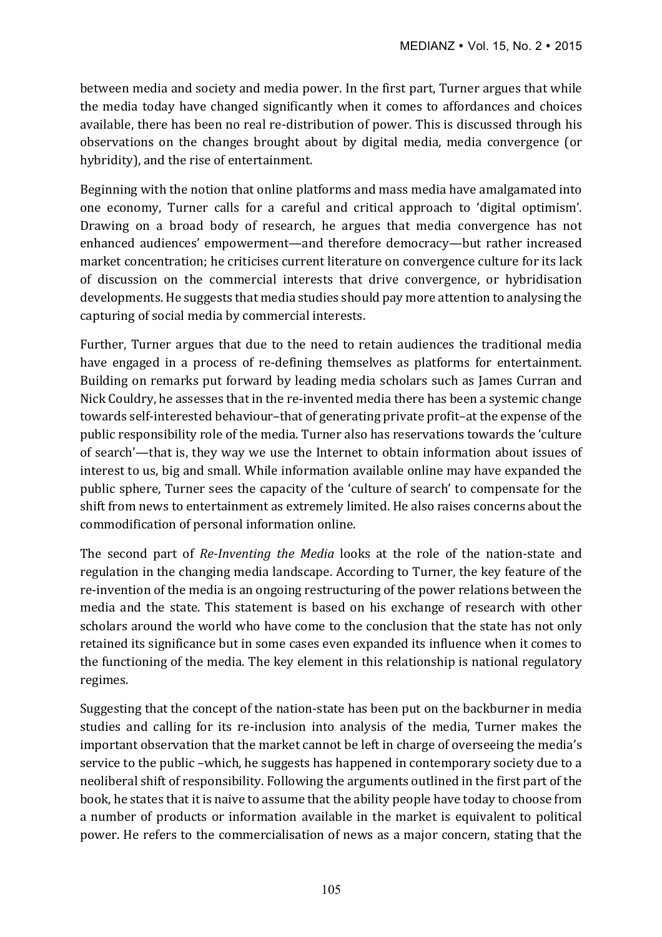between media and society and media power. In the first part, Turner argues that while the media today have changed significantly when it comes to affordances and choices available, there has been no real re-distribution of power. This is discussed through his observations on the changes brought about by digital media, media convergence (or hybridity), and the rise of entertainment.

Beginning with the notion that online platforms and mass media have amalgamated into one economy, Turner calls for a careful and critical approach to 'digital optimism'. Drawing on a broad body of research, he argues that media convergence has not enhanced audiences' empowerment—and therefore democracy—but rather increased market concentration; he criticises current literature on convergence culture for its lack of discussion on the commercial interests that drive convergence, or hybridisation developments. He suggests that media studies should pay more attention to analysing the capturing of social media by commercial interests.

Further, Turner argues that due to the need to retain audiences the traditional media have engaged in a process of re-defining themselves as platforms for entertainment. Building on remarks put forward by leading media scholars such as James Curran and Nick Couldry, he assesses that in the re-invented media there has been a systemic change towards self-interested behaviour-that of generating private profit-at the expense of the public responsibility role of the media. Turner also has reservations towards the 'culture of search'—that is, they way we use the Internet to obtain information about issues of interest to us, big and small. While information available online may have expanded the public sphere, Turner sees the capacity of the 'culture of search' to compensate for the shift from news to entertainment as extremely limited. He also raises concerns about the commodification of personal information online.

The second part of *Re-Inventing the Media* looks at the role of the nation-state and regulation in the changing media landscape. According to Turner, the key feature of the re-invention of the media is an ongoing restructuring of the power relations between the media and the state. This statement is based on his exchange of research with other scholars around the world who have come to the conclusion that the state has not only retained its significance but in some cases even expanded its influence when it comes to the functioning of the media. The key element in this relationship is national regulatory regimes.

Suggesting that the concept of the nation-state has been put on the backburner in media studies and calling for its re-inclusion into analysis of the media. Turner makes the important observation that the market cannot be left in charge of overseeing the media's service to the public –which, he suggests has happened in contemporary society due to a neoliberal shift of responsibility. Following the arguments outlined in the first part of the book, he states that it is naive to assume that the ability people have today to choose from a number of products or information available in the market is equivalent to political power. He refers to the commercialisation of news as a major concern, stating that the